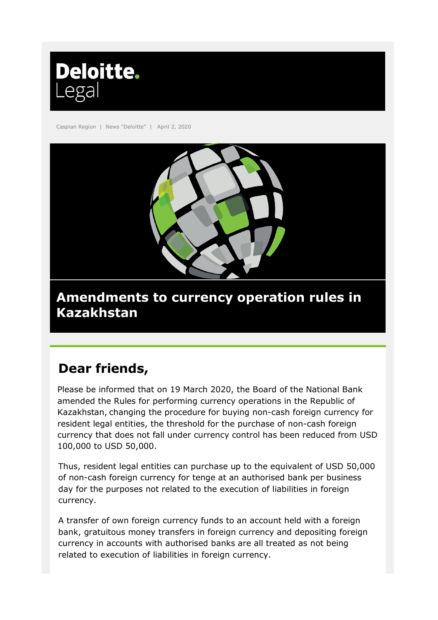

Caspian Region | News "Deloitte" | April 2, 2020



## **Amendments to currency operation rules in Kazakhstan**

# **Dear friends,**

Please be informed that on 19 March 2020, the Board of the National Bank amended the Rules for performing currency operations in the Republic of Kazakhstan, changing the procedure for buying non-cash foreign currency for resident legal entities, the threshold for the purchase of non-cash foreign currency that does not fall under currency control has been reduced from USD 100,000 to USD 50,000.

Thus, resident legal entities can purchase up to the equivalent of USD 50,000 of non-cash foreign currency for tenge at an authorised bank per business day for the purposes not related to the execution of liabilities in foreign currency.

A transfer of own foreign currency funds to an account held with a foreign bank, gratuitous money transfers in foreign currency and depositing foreign currency in accounts with authorised banks are all treated as not being related to execution of liabilities in foreign currency.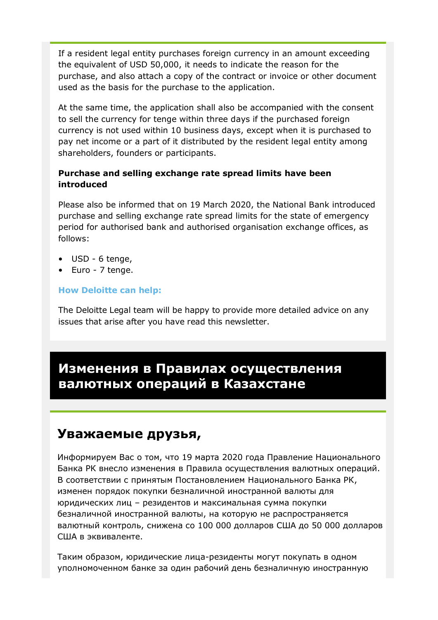If a resident legal entity purchases foreign currency in an amount exceeding the equivalent of USD 50,000, it needs to indicate the reason for the purchase, and also attach a copy of the contract or invoice or other document used as the basis for the purchase to the application.

At the same time, the application shall also be accompanied with the consent to sell the currency for tenge within three days if the purchased foreign currency is not used within 10 business days, except when it is purchased to pay net income or a part of it distributed by the resident legal entity among shareholders, founders or participants.

### **Purchase and selling exchange rate spread limits have been introduced**

Please also be informed that on 19 March 2020, the National Bank introduced purchase and selling exchange rate spread limits for the state of emergency period for authorised bank and authorised organisation exchange offices, as follows:

- USD 6 tenge,
- Euro 7 tenge.

#### **How Deloitte can help:**

The Deloitte Legal team will be happy to provide more detailed advice on any issues that arise after you have read this newsletter.

### **Изменения в Правилах осуществления валютных операций в Казахстане**

### **Уважаемые друзья,**

Информируем Вас о том, что 19 марта 2020 года Правление Национального Банка РК внесло изменения в Правила осуществления валютных операций. В соответствии с принятым Постановлением Национального Банка РК, изменен порядок покупки безналичной иностранной валюты для юридических лиц – резидентов и максимальная сумма покупки безналичной иностранной валюты, на которую не распространяется валютный контроль, снижена со 100 000 долларов США до 50 000 долларов США в эквиваленте.

Таким образом, юридические лица-резиденты могут покупать в одном уполномоченном банке за один рабочий день безналичную иностранную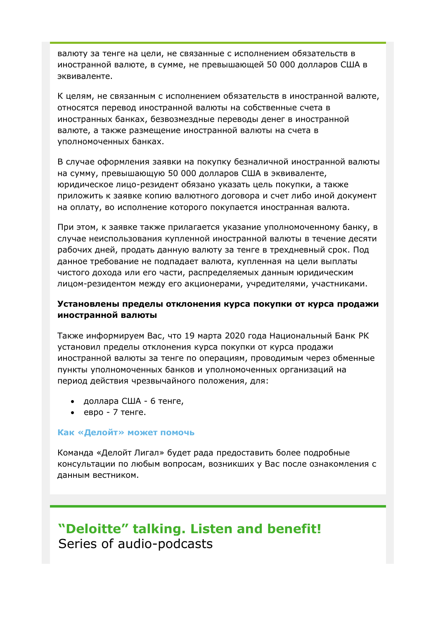валюту за тенге на цели, не связанные с исполнением обязательств в иностранной валюте, в сумме, не превышающей 50 000 долларов США в эквиваленте.

К целям, не связанным с исполнением обязательств в иностранной валюте, относятся перевод иностранной валюты на собственные счета в иностранных банках, безвозмездные переводы денег в иностранной валюте, а также размещение иностранной валюты на счета в уполномоченных банках.

В случае оформления заявки на покупку безналичной иностранной валюты на сумму, превышающую 50 000 долларов США в эквиваленте, юридическое лицо-резидент обязано указать цель покупки, а также приложить к заявке копию валютного договора и счет либо иной документ на оплату, во исполнение которого покупается иностранная валюта.

При этом, к заявке также прилагается указание уполномоченному банку, в случае неиспользования купленной иностранной валюты в течение десяти рабочих дней, продать данную валюту за тенге в трехдневный срок. Под данное требование не подпадает валюта, купленная на цели выплаты чистого дохода или его части, распределяемых данным юридическим лицом-резидентом между его акционерами, учредителями, участниками.

#### **Установлены пределы отклонения курса покупки от курса продажи иностранной валюты**

Также информируем Вас, что 19 марта 2020 года Национальный Банк РК установил пределы отклонения курса покупки от курса продажи иностранной валюты за тенге по операциям, проводимым через обменные пункты уполномоченных банков и уполномоченных организаций на период действия чрезвычайного положения, для:

- доллара США 6 тенге,
- евро 7 тенге.

#### **Как «Делойт» может помочь**

Команда «Делойт Лигал» будет рада предоставить более подробные консультации по любым вопросам, возникших у Вас после ознакомления с данным вестником.

## **"Deloitte" talking. Listen and benefit!**  Series of audio-podcasts